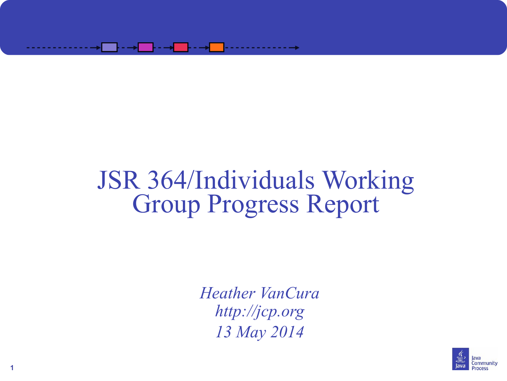

#### JSR 364/Individuals Working Group Progress Report

*Heather VanCura [http://jcp.org](http://jcp.org/) 13 May 2014*



**1**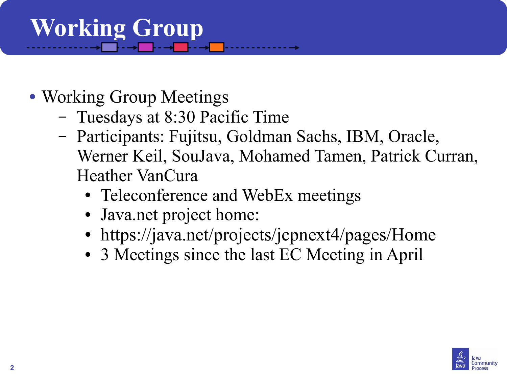# **Working Group**

- Working Group Meetings
	- Tuesdays at 8:30 Pacific Time
	- Participants: Fujitsu, Goldman Sachs, IBM, Oracle, Werner Keil, SouJava, Mohamed Tamen, Patrick Curran, Heather VanCura
		- Teleconference and WebEx meetings
		- Java.net project home:
		- https://java.net/projects/jcpnext4/pages/Home
		- 3 Meetings since the last EC Meeting in April

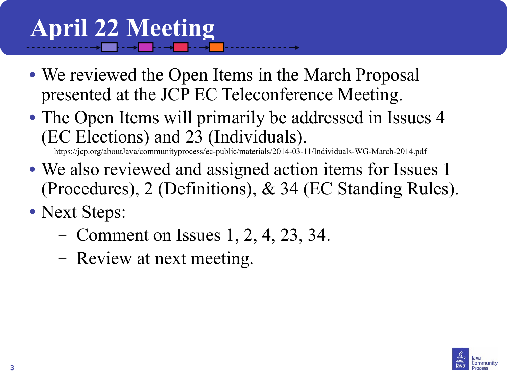### **April 22 Meeting**

- We reviewed the Open Items in the March Proposal presented at the JCP EC Teleconference Meeting.
- The Open Items will primarily be addressed in Issues 4 (EC Elections) and 23 (Individuals).

<https://jcp.org/aboutJava/communityprocess/ec-public/materials/2014-03-11/Individuals-WG-March-2014.pdf>

- We also reviewed and assigned action items for Issues 1 (Procedures), 2 (Definitions), & 34 (EC Standing Rules).
- Next Steps:
	- Comment on Issues 1, 2, 4, 23, 34.
	- Review at next meeting.

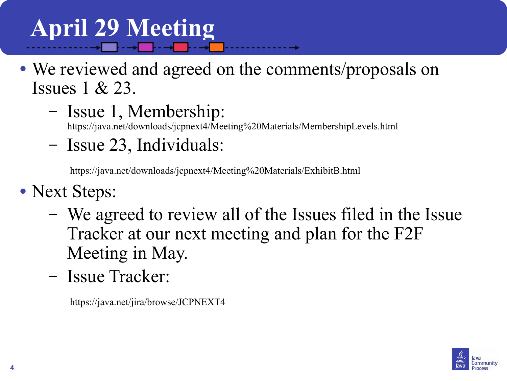# **April 29 Meeting**

- We reviewed and agreed on the comments/proposals on Issues 1 & 23.
	- Issue 1, Membership:

<https://java.net/downloads/jcpnext4/Meeting%20Materials/MembershipLevels.html>

– Issue 23, Individuals:

https://java.net/downloads/jcpnext4/Meeting%20Materials/ExhibitB.html

- Next Steps:
	- We agreed to review all of the Issues filed in the Issue Tracker at our next meeting and plan for the F2F Meeting in May.
	- Issue Tracker:

https://java.net/jira/browse/JCPNEXT4

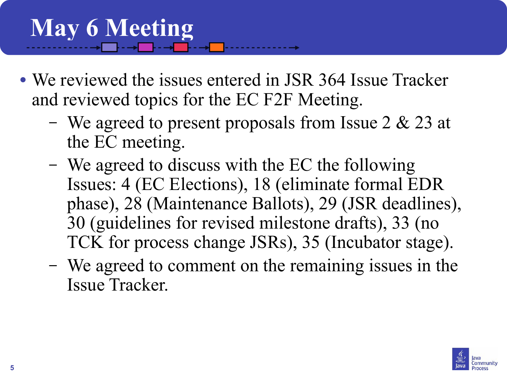## **May 6 Meeting**

- We reviewed the issues entered in JSR 364 Issue Tracker and reviewed topics for the EC F2F Meeting.
	- We agreed to present proposals from Issue 2 & 23 at the EC meeting.
	- We agreed to discuss with the EC the following Issues: 4 (EC Elections), 18 (eliminate formal EDR phase), 28 (Maintenance Ballots), 29 (JSR deadlines), 30 (guidelines for revised milestone drafts), 33 (no TCK for process change JSRs), 35 (Incubator stage).
	- We agreed to comment on the remaining issues in the Issue Tracker.